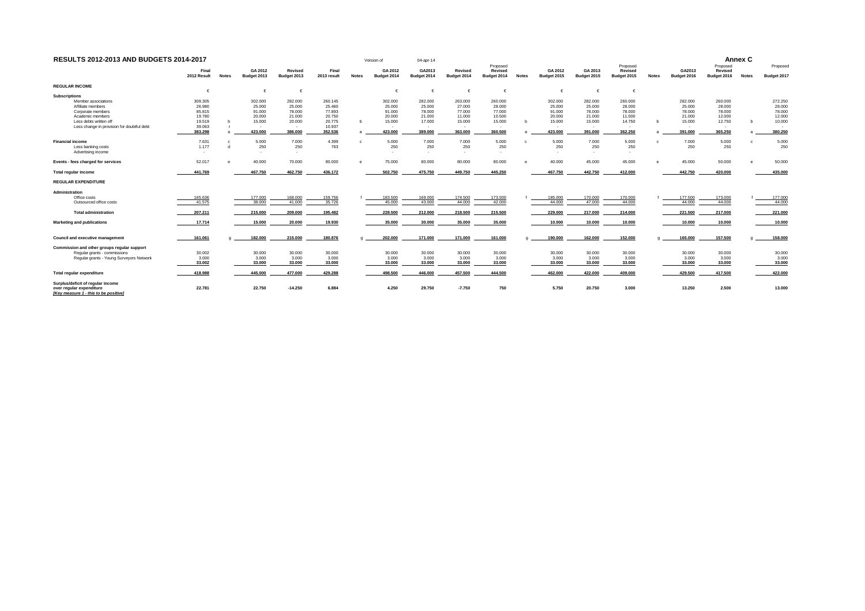| RESULTS 2012-2013 AND BUDGETS 2014-2017                                                                                 |                           |              |                           |                           |                            |              | Version of                | 04-apr-14                    |                              |                                    |              |                           |                           |                                    |              |                           |                                    | Annex C      |                            |
|-------------------------------------------------------------------------------------------------------------------------|---------------------------|--------------|---------------------------|---------------------------|----------------------------|--------------|---------------------------|------------------------------|------------------------------|------------------------------------|--------------|---------------------------|---------------------------|------------------------------------|--------------|---------------------------|------------------------------------|--------------|----------------------------|
|                                                                                                                         | Final<br>2012 Result      | <b>Notes</b> | GA 2012<br>Budget 2013    | Revised<br>Budget 2013    | Final<br>2013 result       | <b>Notes</b> | GA 2012<br>Budget 2014    | GA2013<br>Budget 2014        | Revised<br>Budget 2014       | Proposed<br>Revised<br>Budget 2014 | <b>Notes</b> | GA 2012<br>Budget 2015    | GA 2013<br>Budget 2015    | Proposed<br>Revised<br>Budget 2015 | <b>Notes</b> | GA2013<br>Budget 2016     | Proposed<br>Revised<br>Budget 2016 | <b>Notes</b> | Proposed<br>Budget 2017    |
| <b>REGULAR INCOME</b>                                                                                                   |                           |              |                           |                           |                            |              |                           |                              |                              |                                    |              |                           |                           |                                    |              |                           |                                    |              |                            |
| <b>Subscriptions</b><br>Member associations                                                                             | 309.305                   |              | $\epsilon$<br>302.000     | 282.000                   | 260.145                    |              | €<br>302.000              | $\epsilon$<br>282.000        | 263,000                      | 260.000                            |              | $\epsilon$<br>302.000     | 282.000                   | 260.000                            |              | 282.000                   | 260.000                            |              | 272.250                    |
| Affiliate members                                                                                                       | 26,980<br>85,815          |              | 25.000<br>91,000          | 25,000<br>78,000          | 25,460                     |              | 25.000<br>91.000          | 25,000                       | 27,000<br>77,000             | 28.000<br>77,000                   |              | 25,000<br>91.000          | 25,000<br>78,000          | 28,000<br>78,000                   |              | 25,000<br>78,000          | 28.000                             |              | 28.000                     |
| Corporate members<br>Academic members<br>Less debts written off                                                         | 19,780<br>19.519          |              | 20.000<br>15.000          | 21,000<br>20,000          | 77.893<br>20.750<br>20.775 |              | 20,000<br>15.000          | 78.000<br>21.000<br>17.000   | 11,000<br>15.000             | 10.500<br>15.000                   | b            | 20.000<br>15.000          | 21,000<br>15,000          | 11.000<br>14.750                   |              | 21.000<br>15.000          | 78.000<br>12.000<br>12.750         |              | 78.000<br>12.000<br>10.000 |
| Less change in provision for doubtful debt                                                                              | 39,063<br>383.298         |              | 423.000                   | 386.000                   | 10.937<br>352.536          |              | 423.000                   | $\mathbf{r}$<br>389.000      | 363.000                      | 360.500                            |              | 423,000                   | 391.000                   | 362.250                            |              | 391.000                   | 365.250                            |              | 380.250                    |
| <b>Financial income</b><br>Less banking costs<br>Advertising income                                                     | 7.631<br>1.177<br>$\sim$  |              | 5.000<br>250              | 7.000<br>250              | 4.399<br>763               |              | 5.000<br>250<br>$\sim$    | 7.000<br>250<br>$\mathbf{r}$ | 7.000<br>250<br>$\mathbf{r}$ | 5.000<br>250<br>. .                |              | 5.000<br>250              | 7.000<br>250              | 5.000<br>250                       |              | 7.000<br>250              | 5.000<br>250                       |              | 5.000<br>250               |
| Events - fees charged for services                                                                                      | 52.017                    |              | 40.000                    | 70.000                    | 80.000                     |              | 75.000                    | 80.000                       | 80.000                       | 80.000                             |              | 40,000                    | 45,000                    | 45.000                             |              | 45.000                    | 50.000                             |              | 50.000                     |
| Total regular income                                                                                                    | 441.769                   |              | 467.750                   | 462.750                   | 436.172                    |              | 502.750                   | 475.750                      | 449.750                      | 445.250                            |              | 467.750                   | 442.750                   | 412.000                            |              | 442.750                   | 420.000                            |              | 435.000                    |
| <b>REGULAR EXPENDITURE</b>                                                                                              |                           |              |                           |                           |                            |              |                           |                              |                              |                                    |              |                           |                           |                                    |              |                           |                                    |              |                            |
| Administration<br>Office costs<br>Outsourced office costs                                                               | 165.636<br>41.575         |              | 177,000<br>38.000         | 168.000<br>41,000         | 159.756<br>35.726          |              | 183.500<br>45.000         | 169.000<br>43.000            | 174.500<br>44.000            | 173.500<br>42.000                  |              | 185.000<br>44.000         | 170,000<br>47,000         | 170.000<br>44.000                  |              | 177.500<br>44.000         | 173.000<br>44.000                  |              | 177.000<br>44.000          |
| <b>Total administration</b>                                                                                             | 207.211                   |              | 215.000                   | 209.000                   | 195.482                    |              | 228.500                   | 212.000                      | 218.500                      | 215.500                            |              | 229.000                   | 217.000                   | 214.000                            |              | 221.500                   | 217.000                            |              | 221.000                    |
| Marketing and publications                                                                                              | 17.714                    |              | 15.000                    | 20.000                    | 19.930                     |              | 35.000                    | 30.000                       | 35.000                       | 35.000                             |              | 10,000                    | 10,000                    | 10.000                             |              | 10.000                    | 10.000                             |              | 10.000                     |
| Council and executive management                                                                                        | 161.061                   |              | 182,000                   | 215,000                   | 180.876                    |              | 202,000                   | 171,000                      | 171,000                      | 161,000                            |              | 190,000                   | 162,000                   | 152,000                            |              | 165,000                   | 157,500                            |              | 158,000                    |
| Commission and other groups regular support<br>Regular grants - commissions<br>Regular grants - Young Surveyors Network | 30.002<br>3.000<br>33.002 |              | 30.000<br>3.000<br>33,000 | 30.000<br>3.000<br>33,000 | 30.000<br>3.000<br>33.000  |              | 30.000<br>3.000<br>33.000 | 30.000<br>3.000<br>33.000    | 30.000<br>3.000<br>33.000    | 30.000<br>3.000<br>33.000          |              | 30.000<br>3.000<br>33,000 | 30.000<br>3.000<br>33,000 | 30.000<br>3.000<br>33.000          |              | 30.000<br>3.000<br>33,000 | 30.000<br>3.000<br>33.000          |              | 30.000<br>3.000<br>33.000  |
| Total regular expenditure                                                                                               | 418.988                   |              | 445.000                   | 477.000                   | 429.288                    |              | 498.500                   | 446.000                      | 457.500                      | 444.500                            |              | 462.000                   | 422.000                   | 409.000                            |              | 429.500                   | 417.500                            |              | 422.000                    |
| Surplus/deficit of regular income<br>over regular expenditure<br>[Kev measure 1 - this to be positive]                  | 22.781                    |              | 22.750                    | $-14.250$                 | 6.884                      |              | 4.250                     | 29.750                       | $-7.750$                     | 750                                |              | 5.750                     | 20.750                    | 3.000                              |              | 13.250                    | 2.500                              |              | 13.000                     |